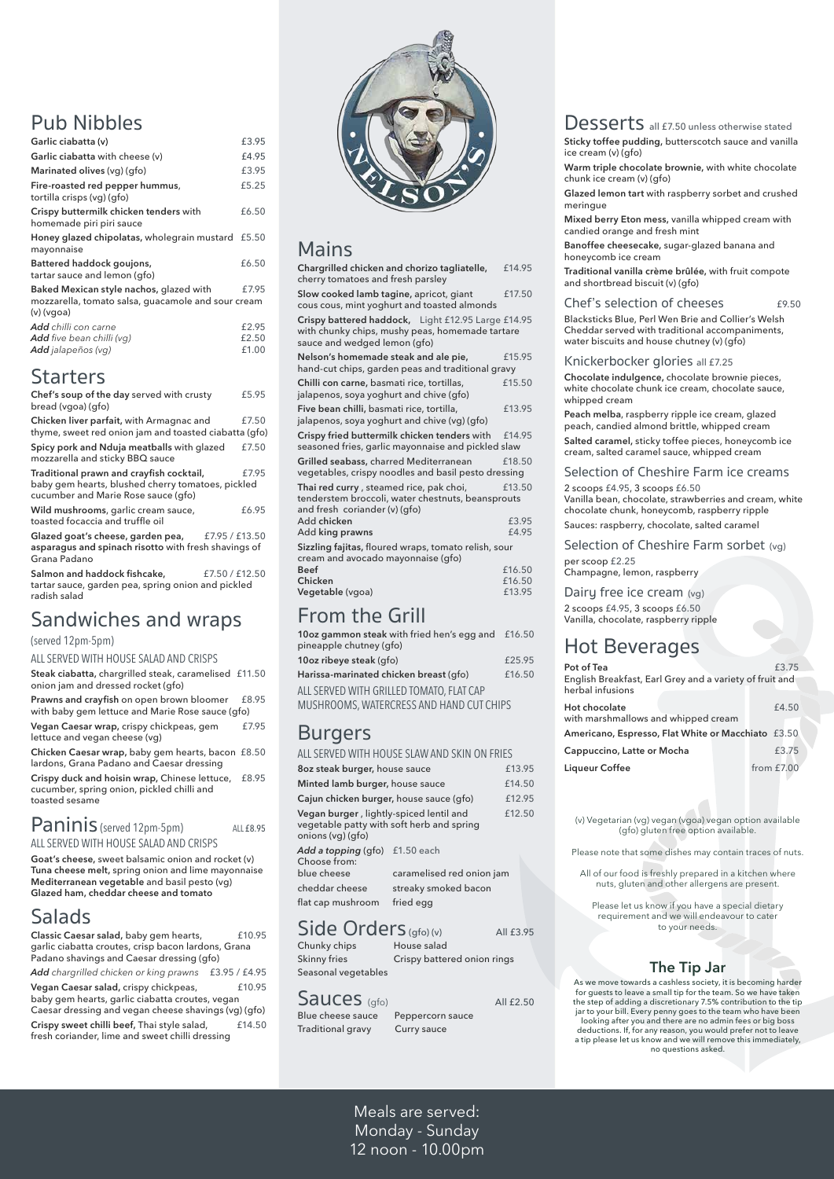### Pub Nibbles

| Garlic ciabatta (v)                                                            | £3.95                   |
|--------------------------------------------------------------------------------|-------------------------|
| Garlic ciabatta with cheese (v)                                                | £4.95                   |
| Marinated olives (vg) (gfo)                                                    | £3.95                   |
| Fire-roasted red pepper hummus,<br>tortilla crisps (vg) (gfo)                  | £5.25                   |
| Crispy buttermilk chicken tenders with<br>homemade piri piri sauce             | £6.50                   |
| Honey glazed chipolatas, wholegrain mustard<br>mayonnaise                      | £5.50                   |
| Battered haddock goujons,<br>tartar sauce and lemon (gfo)                      | £6.50                   |
| Baked Mexican style nachos, glazed with                                        | £7.95                   |
| mozzarella, tomato salsa, guacamole and sour cream<br>$(v)$ (vgoa)             |                         |
| <b>Add</b> chilli con carne<br>Add five bean chilli (vg)<br>Add jalapeños (vg) | £2.95<br>£2.50<br>£1.00 |
|                                                                                |                         |

### **Starters**

| Chef's soup of the day served with crusty<br>bread (vgoa) (gfo)                                                                      | £5.95 |
|--------------------------------------------------------------------------------------------------------------------------------------|-------|
| Chicken liver parfait, with Armagnac and<br>thyme, sweet red onion jam and toasted ciabatta (gfo)                                    | £7.50 |
| Spicy pork and Nduja meatballs with glazed<br>mozzarella and sticky BBQ sauce                                                        | £7.50 |
| Traditional prawn and crayfish cocktail,<br>baby gem hearts, blushed cherry tomatoes, pickled<br>cucumber and Marie Rose sauce (gfo) | £7.95 |
| Wild mushrooms, garlic cream sauce,<br>toasted focaccia and truffle oil                                                              | £6.95 |
| Glazed goat's cheese, garden pea, £7.95 / £13.50<br>asparagus and spinach risotto with fresh shavings of<br>Grana Padano             |       |
| Salmon and haddock fishcake,<br>£7.50 / £12.50<br>tartar sauce, garden pea, spring onion and pickled<br>radish salad                 |       |

### $Panning$  (served 12pm-5pm)  $ALLE8.95$ ALL SERVED WITH HOUSE SALAD AND CRISPS

**Classic Caesar salad, baby gem hearts, F10.95** garlic ciabatta croutes, crisp bacon lardons, Grana Padano shavings and Caesar dressing (gfo)

### Sandwiches and wraps

#### (served 12pm-5pm)

#### ALL SERVED WITH HOUSE SALAD AND CRISPS

**Steak ciabatta,** chargrilled steak, caramelised £11.50 onion jam and dressed rocket (gfo)

**Prawns and crayfish** on open brown bloomer £8.95 with baby gem lettuce and Marie Rose sauce (gfo)

**Vegan Caesar wrap,** crispy chickpeas, gem £7.95 lettuce and vegan cheese (vg)

**Chicken Caesar wrap,** baby gem hearts, bacon £8.50 lardons, Grana Padano and Caesar dressing

**Crispy duck and hoisin wrap,** Chinese lettuce, £8.95 cucumber, spring onion, pickled chilli and toasted sesame

**Goat's cheese,** sweet balsamic onion and rocket (v) **Tuna cheese melt,** spring onion and lime mayonnaise **Mediterranean vegetable** and basil pesto (vg)



**Glazed ham, cheddar cheese and tomato** 

### Salads

cheddar cheese streaky smoked bacon flat cap mushroom fried egg

 $\textsf{Side\,Orders}_{\textsf{(gfo)}\textsf{(v)}}$ All £3.95<br>
Chunky chips House salad Chunky chips Skinny fries Crispy battered onion rings Seasonal vegetables

 $S$ all  $C$ ese sauce Peppercorn sauce<br>Blue cheese sauce Peppercorn sauce Peppercorn sauce Traditional gravy Curry sauce

*Add chargrilled chicken or king prawns* £3.95 / £4.95 **Vegan Caesar salad,** crispy chickpeas, £10.95 baby gem hearts, garlic ciabatta croutes, vegan Caesar dressing and vegan cheese shavings (vg) (gfo) **Crispy sweet chilli beef, Thai style salad, filth filth filth filth filth filth filth filth filth filth filth filth filth filth filth filth filth filth filth filth filth filth filth filth filth filth filth filth filth fil** fresh coriander, lime and sweet chilli dressing

## Mains

| Chargrilled chicken and chorizo tagliatelle,<br>cherry tomatoes and fresh parsley                                                     | £14.95                     |
|---------------------------------------------------------------------------------------------------------------------------------------|----------------------------|
| Slow cooked lamb tagine, apricot, giant<br>cous cous, mint yoghurt and toasted almonds                                                | £17.50                     |
| Crispy battered haddock, Light £12.95 Large £14.95<br>with chunky chips, mushy peas, homemade tartare<br>sauce and wedged lemon (gfo) |                            |
| Nelson's homemade steak and ale pie,<br>hand-cut chips, garden peas and traditional gravy                                             | £15.95                     |
| Chilli con carne, basmati rice, tortillas,<br>jalapenos, soya yoghurt and chive (gfo)                                                 | £15.50                     |
| Five bean chilli, basmati rice, tortilla,<br>jalapenos, soya yoghurt and chive (vg) (gfo)                                             | £13.95                     |
| Crispy fried buttermilk chicken tenders with<br>seasoned fries, garlic mayonnaise and pickled slaw                                    | £14.95                     |
| Grilled seabass, charred Mediterranean<br>vegetables, crispy noodles and basil pesto dressing                                         | £18.50                     |
| Thai red curry, steamed rice, pak choi,<br>tenderstem broccoli, water chestnuts, beansprouts<br>and fresh coriander (v) (gfo)         | £13.50                     |
| Add chicken<br>Add king prawns                                                                                                        | £3.95<br>£4.95             |
| Sizzling fajitas, floured wraps, tomato relish, sour<br>cream and avocado mayonnaise (gfo)                                            |                            |
| <b>Beef</b><br>Chicken<br>Vegetable (vgoa)                                                                                            | £16.50<br>£16.50<br>£13.95 |
| Erom <sub>tho</sub> Crill                                                                                                             |                            |

## From the Grill

| 10oz gammon steak with fried hen's egg and £16.50 |        |
|---------------------------------------------------|--------|
| pineapple chutney (gfo)                           |        |
| 10oz ribeye steak (gfo)                           | £25.95 |
| Harissa-marinated chicken breast (qfo)            | £16.50 |
| ALL SERVED WITH GRILLED TOMATO, FLAT CAP          |        |
| MUSHROOMS MATERCRESS AND HAND CUTCHIPS            |        |

MUSHROOMS, WATERCRESS AND HAND CUT CHIPS

### Burgers

ALL SERVED WITH HOUSE SLAW AND SKIN ON FRIES

| 8oz steak burger, house sauce                                                                             |                           | £13.95 |  |
|-----------------------------------------------------------------------------------------------------------|---------------------------|--------|--|
| Minted lamb burger, house sauce                                                                           |                           | £14.50 |  |
| Cajun chicken burger, house sauce (gfo)                                                                   |                           | £12.95 |  |
| Vegan burger, lightly-spiced lentil and<br>vegetable patty with soft herb and spring<br>onions (vg) (gfo) |                           | £12.50 |  |
| Add a topping (gfo) £1.50 each<br>Choose from:                                                            |                           |        |  |
| blue cheese                                                                                               | caramelised red onion jam |        |  |

## Desserts all £7.50 unless otherwise stated

**Sticky toffee pudding,** butterscotch sauce and vanilla ice cream (v) (gfo)

**Warm triple chocolate brownie,** with white chocolate chunk ice cream (v) (gfo)

**Glazed lemon tart** with raspberry sorbet and crushed meringue

**Mixed berry Eton mess,** vanilla whipped cream with candied orange and fresh mint

**Banoffee cheesecake,** sugar-glazed banana and honeycomb ice cream

**Traditional vanilla crème brûlée,** with fruit compote and shortbread biscuit (v) (gfo)

### Chef's selection of cheeses 69.50

Blacksticks Blue, Perl Wen Brie and Collier's Welsh Cheddar served with traditional accompaniments, water biscuits and house chutney (v) (gfo)

### Knickerbocker glories all £7.25

**Chocolate indulgence,** chocolate brownie pieces, white chocolate chunk ice cream, chocolate sauce, whipped cream

**Peach melba**, raspberry ripple ice cream, glazed peach, candied almond brittle, whipped cream

**Salted caramel,** sticky toffee pieces, honeycomb ice cream, salted caramel sauce, whipped cream

### Selection of Cheshire Farm ice creams

2 scoops £4.95, 3 scoops £6.50

Vanilla bean, chocolate, strawberries and cream, white chocolate chunk, honeycomb, raspberry ripple

Sauces: raspberry, chocolate, salted caramel

### Selection of Cheshire Farm sorbet (vg)

per scoop £2.25 Champagne, lemon, raspberry

Dairy free ice cream (vg)

2 scoops £4.95, 3 scoops £6.50 Vanilla, chocolate, raspberry ripple

### Hot Beverages

| Pot of Tea<br>English Breakfast, Earl Grey and a variety of fruit and<br>herbal infusions |            | £3.75 |  |
|-------------------------------------------------------------------------------------------|------------|-------|--|
| Hot chocolate<br>with marshmallows and whipped cream                                      |            | £4.50 |  |
| Americano, Espresso, Flat White or Macchiato £3.50                                        |            |       |  |
| Cappuccino, Latte or Mocha                                                                |            | £3.75 |  |
| <b>Liqueur Coffee</b>                                                                     | from £7.00 |       |  |

Meals are served: Monday - Sunday 12 noon - 10.00pm (v) Vegetarian (vg) vegan (vgoa) vegan option available (gfo) gluten free option available.

Please note that some dishes may contain traces of nuts.

All of our food is freshly prepared in a kitchen where nuts, gluten and other allergens are present.

Please let us know if you have a special dietary requirement and we will endeavour to cater to your needs.

**The Tip Jar** As we move towards a cashless society, it is becoming harder for guests to leave a small tip for the team. So we have taken the step of adding a discretionary 7.5% contribution to the tip jar to your bill. Every penny goes to the team who have been looking after you and there are no admin fees or big boss deductions. If, for any reason, you would prefer not to leave

a tip please let us know and we will remove this immediately, no questions asked.